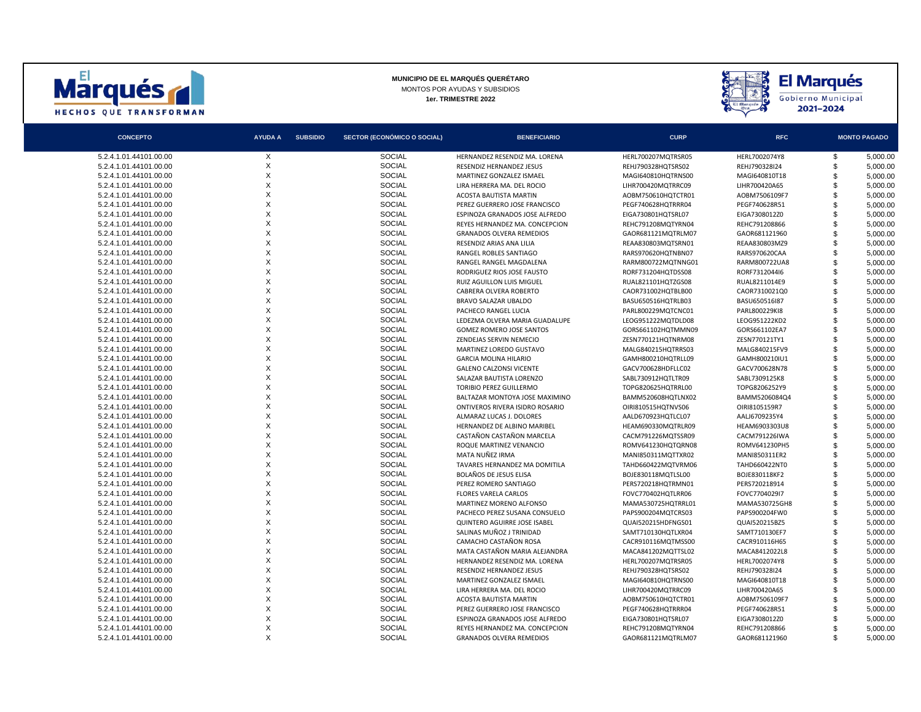



| <b>CONCEPTO</b>        | <b>AYUDA A</b> | <b>SUBSIDIO</b> | SECTOR (ECONÓMICO O SOCIAL) | <b>BENEFICIARIO</b>             | <b>CURP</b>        | <b>RFC</b>    |     | <b>MONTO PAGADO</b> |
|------------------------|----------------|-----------------|-----------------------------|---------------------------------|--------------------|---------------|-----|---------------------|
| 5.2.4.1.01.44101.00.00 | X              |                 | <b>SOCIAL</b>               | HERNANDEZ RESENDIZ MA. LORENA   | HERL700207MQTRSR05 | HERL7002074Y8 | \$  | 5,000.00            |
| 5.2.4.1.01.44101.00.00 | X              |                 | <b>SOCIAL</b>               | RESENDIZ HERNANDEZ JESUS        | REHJ790328HQTSRS02 | REHJ790328I24 | \$  | 5,000.00            |
| 5.2.4.1.01.44101.00.00 | X              |                 | <b>SOCIAL</b>               | MARTINEZ GONZALEZ ISMAEL        | MAGI640810HQTRNS00 | MAGI640810T18 | \$  | 5,000.00            |
| 5.2.4.1.01.44101.00.00 | X              |                 | <b>SOCIAL</b>               | LIRA HERRERA MA. DEL ROCIO      | LIHR700420MQTRRC09 | LIHR700420A65 | \$  | 5,000.00            |
| 5.2.4.1.01.44101.00.00 | X              |                 | <b>SOCIAL</b>               | <b>ACOSTA BAUTISTA MARTIN</b>   | AOBM750610HQTCTR01 | AOBM7506109F7 | \$  | 5,000.00            |
| 5.2.4.1.01.44101.00.00 | X              |                 | <b>SOCIAL</b>               | PEREZ GUERRERO JOSE FRANCISCO   | PEGF740628HQTRRR04 | PEGF740628R51 | \$. | 5,000.00            |
| 5.2.4.1.01.44101.00.00 | X              |                 | <b>SOCIAL</b>               | ESPINOZA GRANADOS JOSE ALFREDO  | EIGA730801HQTSRL07 | EIGA7308012Z0 | \$  | 5,000.00            |
| 5.2.4.1.01.44101.00.00 | X              |                 | <b>SOCIAL</b>               | REYES HERNANDEZ MA, CONCEPCION  | REHC791208MQTYRN04 | REHC791208866 | \$  | 5.000.00            |
| 5.2.4.1.01.44101.00.00 | X              |                 | <b>SOCIAL</b>               | <b>GRANADOS OLVERA REMEDIOS</b> | GAOR681121MQTRLM07 | GAOR681121960 | \$  | 5,000.00            |
| 5.2.4.1.01.44101.00.00 | X              |                 | <b>SOCIAL</b>               | RESENDIZ ARIAS ANA LILIA        | REAA830803MQTSRN01 | REAA830803MZ9 | \$. | 5,000.00            |
| 5.2.4.1.01.44101.00.00 | X              |                 | <b>SOCIAL</b>               | RANGEL ROBLES SANTIAGO          | RARS970620HQTNBN07 | RARS970620CAA | \$  | 5,000.00            |
| 5.2.4.1.01.44101.00.00 | X              |                 | <b>SOCIAL</b>               | RANGEL RANGEL MAGDALENA         | RARM800722MQTNNG01 | RARM800722UA8 | \$  | 5.000.00            |
| 5.2.4.1.01.44101.00.00 | X              |                 | <b>SOCIAL</b>               | RODRIGUEZ RIOS JOSE FAUSTO      | RORF731204HQTDSS08 | RORF731204416 | \$. | 5.000.00            |
| 5.2.4.1.01.44101.00.00 | X              |                 | <b>SOCIAL</b>               | RUIZ AGUILLON LUIS MIGUEL       | RUAL821101HQTZGS08 | RUAL8211014E9 | \$  | 5,000.00            |
| 5.2.4.1.01.44101.00.00 | X              |                 | <b>SOCIAL</b>               | CABRERA OLVERA ROBERTO          | CAOR731002HQTBLB00 | CAOR7310021Q0 | \$  | 5,000.00            |
| 5.2.4.1.01.44101.00.00 | X              |                 | <b>SOCIAL</b>               | BRAVO SALAZAR UBALDO            | BASU650516HQTRLB03 | BASU650516I87 | \$. | 5,000.00            |
| 5.2.4.1.01.44101.00.00 | X              |                 | <b>SOCIAL</b>               | PACHECO RANGEL LUCIA            | PARL800229MQTCNC01 | PARL800229KI8 | \$  | 5,000.00            |
| 5.2.4.1.01.44101.00.00 | X              |                 | <b>SOCIAL</b>               | LEDEZMA OLVERA MARIA GUADALUPE  | LEOG951222MQTDLD08 | LEOG951222KD2 | \$  | 5,000.00            |
| 5.2.4.1.01.44101.00.00 | X              |                 | <b>SOCIAL</b>               | <b>GOMEZ ROMERO JOSE SANTOS</b> | GORS661102HQTMMN09 | GORS661102EA7 | \$  | 5,000.00            |
| 5.2.4.1.01.44101.00.00 | $\mathsf{x}$   |                 | <b>SOCIAL</b>               | ZENDEJAS SERVIN NEMECIO         | ZESN770121HQTNRM08 | ZESN770121TY1 | \$. | 5,000.00            |
| 5.2.4.1.01.44101.00.00 | X              |                 | <b>SOCIAL</b>               | MARTINEZ LOREDO GUSTAVO         | MALG840215HQTRRS03 | MALG840215FV9 | \$  | 5,000.00            |
| 5.2.4.1.01.44101.00.00 | X              |                 | <b>SOCIAL</b>               | <b>GARCIA MOLINA HILARIO</b>    | GAMH800210HQTRLL09 | GAMH800210IU1 | \$  | 5.000.00            |
| 5.2.4.1.01.44101.00.00 | X              |                 | <b>SOCIAL</b>               | <b>GALENO CALZONSI VICENTE</b>  | GACV700628HDFLLC02 | GACV700628N78 | \$. | 5,000.00            |
| 5.2.4.1.01.44101.00.00 | X              |                 | <b>SOCIAL</b>               | SALAZAR BAUTISTA LORENZO        | SABL730912HQTLTR09 | SABL7309125K8 | \$  | 5,000.00            |
| 5.2.4.1.01.44101.00.00 | X              |                 | <b>SOCIAL</b>               | <b>TORIBIO PEREZ GUILLERMO</b>  | TOPG820625HQTRRL00 | TOPG8206252Y9 | \$  | 5,000.00            |
| 5.2.4.1.01.44101.00.00 | X              |                 | <b>SOCIAL</b>               | BALTAZAR MONTOYA JOSE MAXIMINO  | BAMM520608HQTLNX02 | BAMM5206084Q4 | \$. | 5,000.00            |
| 5.2.4.1.01.44101.00.00 | X              |                 | <b>SOCIAL</b>               | ONTIVEROS RIVERA ISIDRO ROSARIO | OIRI810515HQTNVS06 | OIRI8105159R7 | \$  | 5,000.00            |
| 5.2.4.1.01.44101.00.00 | X              |                 | <b>SOCIAL</b>               | ALMARAZ LUCAS J. DOLORES        | AALD670923HQTLCL07 | AALJ6709235Y4 | \$  | 5,000.00            |
| 5.2.4.1.01.44101.00.00 | X              |                 | <b>SOCIAL</b>               | HERNANDEZ DE ALBINO MARIBEL     | HEAM690330MQTRLR09 | HEAM6903303U8 | \$  | 5,000.00            |
| 5.2.4.1.01.44101.00.00 | X              |                 | <b>SOCIAL</b>               | CASTAÑON CASTAÑON MARCELA       | CACM791226MQTSSR09 | CACM791226IWA | \$. | 5,000.00            |
| 5.2.4.1.01.44101.00.00 | X              |                 | <b>SOCIAL</b>               | ROQUE MARTINEZ VENANCIO         | ROMV641230HQTQRN08 | ROMV641230PH5 | \$  | 5,000.00            |
| 5.2.4.1.01.44101.00.00 | X              |                 | <b>SOCIAL</b>               | MATA NUÑEZ IRMA                 | MANI850311MQTTXR02 | MANI850311ER2 | \$  | 5.000.00            |
| 5.2.4.1.01.44101.00.00 | X              |                 | <b>SOCIAL</b>               | TAVARES HERNANDEZ MA DOMITILA   | TAHD660422MQTVRM06 | TAHD660422NT0 | \$. | 5,000.00            |
| 5.2.4.1.01.44101.00.00 | X              |                 | <b>SOCIAL</b>               | <b>BOLAÑOS DE JESUS ELISA</b>   | BOJE830118MQTLSL00 | BOJE830118KF2 | \$  | 5,000.00            |
| 5.2.4.1.01.44101.00.00 | X              |                 | <b>SOCIAL</b>               | PEREZ ROMERO SANTIAGO           | PERS720218HQTRMN01 | PERS720218914 | \$  | 5,000.00            |
| 5.2.4.1.01.44101.00.00 | X              |                 | <b>SOCIAL</b>               | <b>FLORES VARELA CARLOS</b>     | FOVC770402HQTLRR06 | FOVC7704029I7 | \$. | 5,000.00            |
| 5.2.4.1.01.44101.00.00 | X              |                 | <b>SOCIAL</b>               | MARTINEZ MORENO ALFONSO         | MAMA530725HQTRRL01 | MAMA530725GH8 | \$  | 5,000.00            |
| 5.2.4.1.01.44101.00.00 | X              |                 | <b>SOCIAL</b>               | PACHECO PEREZ SUSANA CONSUELO   | PAPS900204MQTCRS03 | PAPS900204FW0 | \$  | 5,000.00            |
| 5.2.4.1.01.44101.00.00 | X              |                 | <b>SOCIAL</b>               | QUINTERO AGUIRRE JOSE ISABEL    | QUAI520215HDFNGS01 | QUAI520215BZ5 | \$  | 5,000.00            |
| 5.2.4.1.01.44101.00.00 | X              |                 | <b>SOCIAL</b>               | SALINAS MUÑOZ J TRINIDAD        | SAMT710130HQTLXR04 | SAMT710130EF7 | \$. | 5,000.00            |
| 5.2.4.1.01.44101.00.00 | X              |                 | <b>SOCIAL</b>               | CAMACHO CASTAÑON ROSA           | CACR910116MQTMSS00 | CACR910116H65 | \$  | 5,000.00            |
| 5.2.4.1.01.44101.00.00 | X              |                 | <b>SOCIAL</b>               | MATA CASTAÑON MARIA ALEJANDRA   | MACA841202MQTTSL02 | MACA8412022L8 | \$  | 5.000.00            |
| 5.2.4.1.01.44101.00.00 | X              |                 | <b>SOCIAL</b>               | HERNANDEZ RESENDIZ MA. LORENA   | HERL700207MQTRSR05 | HERL7002074Y8 | \$. | 5,000.00            |
| 5.2.4.1.01.44101.00.00 | X              |                 | <b>SOCIAL</b>               | RESENDIZ HERNANDEZ JESUS        | REHJ790328HQTSRS02 | REHJ790328I24 | \$  | 5,000.00            |
| 5.2.4.1.01.44101.00.00 | X              |                 | <b>SOCIAL</b>               | MARTINEZ GONZALEZ ISMAEL        | MAGI640810HQTRNS00 | MAGI640810T18 | \$  | 5.000.00            |
| 5.2.4.1.01.44101.00.00 | X              |                 | <b>SOCIAL</b>               | LIRA HERRERA MA. DEL ROCIO      | LIHR700420MQTRRC09 | LIHR700420A65 | \$. | 5,000.00            |
| 5.2.4.1.01.44101.00.00 | X              |                 | <b>SOCIAL</b>               | ACOSTA BAUTISTA MARTIN          | AOBM750610HQTCTR01 | AOBM7506109F7 | \$  | 5,000.00            |
| 5.2.4.1.01.44101.00.00 | X              |                 | <b>SOCIAL</b>               | PEREZ GUERRERO JOSE FRANCISCO   | PEGF740628HQTRRR04 | PEGF740628R51 | \$. | 5,000.00            |
| 5.2.4.1.01.44101.00.00 | X              |                 | <b>SOCIAL</b>               | ESPINOZA GRANADOS JOSE ALFREDO  | EIGA730801HQTSRL07 | EIGA7308012Z0 | \$  | 5,000.00            |
| 5.2.4.1.01.44101.00.00 | X              |                 | <b>SOCIAL</b>               | REYES HERNANDEZ MA. CONCEPCION  | REHC791208MQTYRN04 | REHC791208866 | \$. | 5,000.00            |
| 5.2.4.1.01.44101.00.00 | X              |                 | <b>SOCIAL</b>               | <b>GRANADOS OLVERA REMEDIOS</b> | GAOR681121MQTRLM07 | GAOR681121960 | \$  | 5,000.00            |
|                        |                |                 |                             |                                 |                    |               |     |                     |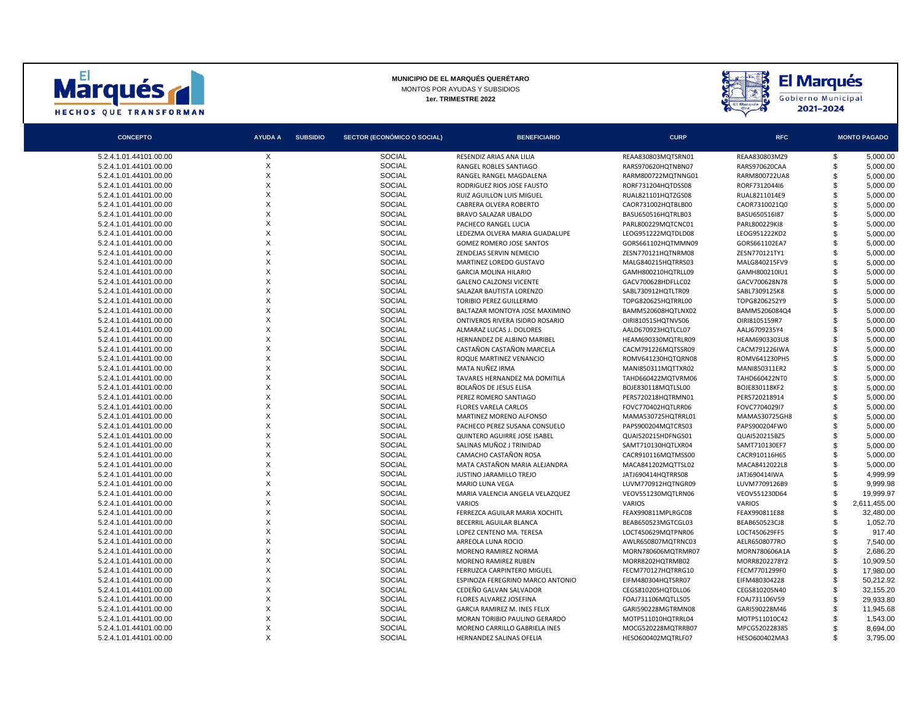



| <b>CONCEPTO</b>        | <b>AYUDA A</b> | <b>SUBSIDIO</b> | SECTOR (ECONÓMICO O SOCIAL) | <b>BENEFICIARIO</b>                                            | <b>CURP</b>                              | <b>RFC</b>                     |                | <b>MONTO PAGADO</b> |
|------------------------|----------------|-----------------|-----------------------------|----------------------------------------------------------------|------------------------------------------|--------------------------------|----------------|---------------------|
| 5.2.4.1.01.44101.00.00 | X              |                 | <b>SOCIAL</b>               | RESENDIZ ARIAS ANA LILIA                                       | REAA830803MQTSRN01                       | REAA830803MZ9                  | \$             | 5,000.00            |
| 5.2.4.1.01.44101.00.00 | X              |                 | <b>SOCIAL</b>               | RANGEL ROBLES SANTIAGO                                         | RARS970620HQTNBN07                       | RARS970620CAA                  | \$             | 5,000.00            |
| 5.2.4.1.01.44101.00.00 | X              |                 | <b>SOCIAL</b>               | RANGEL RANGEL MAGDALENA                                        | RARM800722MQTNNG01                       | RARM800722UA8                  | \$             | 5.000.00            |
| 5.2.4.1.01.44101.00.00 | X              |                 | <b>SOCIAL</b>               | RODRIGUEZ RIOS JOSE FAUSTO                                     | RORF731204HQTDSS08                       | RORF731204416                  | $\mathfrak{s}$ | 5,000.00            |
| 5.2.4.1.01.44101.00.00 | X              |                 | <b>SOCIAL</b>               | RUIZ AGUILLON LUIS MIGUEL                                      | RUAL821101HQTZGS08                       | RUAL8211014E9                  | \$             | 5,000.00            |
| 5.2.4.1.01.44101.00.00 | X              |                 | <b>SOCIAL</b>               | CABRERA OLVERA ROBERTO                                         | CAOR731002HQTBLB00                       | CAOR7310021Q0                  | \$             | 5,000.00            |
| 5.2.4.1.01.44101.00.00 | X              |                 | <b>SOCIAL</b>               | BRAVO SALAZAR UBALDO                                           | BASU650516HQTRLB03                       | BASU650516I87                  | \$             | 5,000.00            |
| 5.2.4.1.01.44101.00.00 | X              |                 | <b>SOCIAL</b>               | PACHECO RANGEL LUCIA                                           | PARL800229MQTCNC01                       | PARL800229KI8                  | \$             | 5,000.00            |
| 5.2.4.1.01.44101.00.00 | X              |                 | <b>SOCIAL</b>               | LEDEZMA OLVERA MARIA GUADALUPE                                 | LEOG951222MQTDLD08                       | LEOG951222KD2                  | $\mathfrak{s}$ | 5,000.00            |
| 5.2.4.1.01.44101.00.00 | X              |                 | <b>SOCIAL</b>               | <b>GOMEZ ROMERO JOSE SANTOS</b>                                | GORS661102HQTMMN09                       | GORS661102EA7                  | \$             | 5,000.00            |
| 5.2.4.1.01.44101.00.00 | X              |                 | <b>SOCIAL</b>               | ZENDEJAS SERVIN NEMECIO                                        | ZESN770121HQTNRM08                       | ZESN770121TY1                  | \$             | 5,000.00            |
| 5.2.4.1.01.44101.00.00 | X              |                 | <b>SOCIAL</b>               | MARTINEZ LOREDO GUSTAVO                                        | MALG840215HQTRRS03                       | MALG840215FV9                  | \$             | 5,000.00            |
| 5.2.4.1.01.44101.00.00 | X              |                 | <b>SOCIAL</b>               | <b>GARCIA MOLINA HILARIO</b>                                   | GAMH800210HQTRLL09                       | GAMH800210IU1                  | \$             | 5,000.00            |
| 5.2.4.1.01.44101.00.00 | X              |                 | <b>SOCIAL</b>               | <b>GALENO CALZONSI VICENTE</b>                                 | GACV700628HDFLLC02                       | GACV700628N78                  | $\mathfrak{s}$ | 5.000.00            |
| 5.2.4.1.01.44101.00.00 | X              |                 | <b>SOCIAL</b>               | SALAZAR BAUTISTA LORENZO                                       | SABL730912HQTLTR09                       | SABL7309125K8                  | \$             | 5,000.00            |
| 5.2.4.1.01.44101.00.00 | X              |                 | <b>SOCIAL</b>               | TORIBIO PEREZ GUILLERMO                                        | TOPG820625HQTRRL00                       | TOPG8206252Y9                  | \$             | 5,000.00            |
| 5.2.4.1.01.44101.00.00 | X              |                 | <b>SOCIAL</b>               | BALTAZAR MONTOYA JOSE MAXIMINO                                 | BAMM520608HQTLNX02                       | BAMM5206084Q4                  | \$             | 5,000.00            |
| 5.2.4.1.01.44101.00.00 | X              |                 | <b>SOCIAL</b>               | ONTIVEROS RIVERA ISIDRO ROSARIO                                | OIRI810515HQTNVS06                       | OIRI8105159R7                  | \$             | 5,000.00            |
| 5.2.4.1.01.44101.00.00 | X              |                 | <b>SOCIAL</b>               | ALMARAZ LUCAS J. DOLORES                                       | AALD670923HQTLCL07                       | AALJ6709235Y4                  | $\mathfrak{s}$ | 5.000.00            |
| 5.2.4.1.01.44101.00.00 | X              |                 | <b>SOCIAL</b>               | HERNANDEZ DE ALBINO MARIBEL                                    | HEAM690330MQTRLR09                       | HEAM6903303U8                  | \$             | 5,000.00            |
| 5.2.4.1.01.44101.00.00 | X              |                 | <b>SOCIAL</b>               | CASTAÑON CASTAÑON MARCELA                                      | CACM791226MQTSSR09                       | <b>CACM791226IWA</b>           | \$             | 5,000.00            |
| 5.2.4.1.01.44101.00.00 | X              |                 | <b>SOCIAL</b>               | ROQUE MARTINEZ VENANCIO                                        | ROMV641230HQTQRN08                       | ROMV641230PH5                  | \$             | 5,000.00            |
| 5.2.4.1.01.44101.00.00 | X              |                 | <b>SOCIAL</b>               | MATA NUÑEZ IRMA                                                | MANI850311MQTTXR02                       | MANI850311ER2                  | \$             | 5,000.00            |
| 5.2.4.1.01.44101.00.00 | X              |                 | <b>SOCIAL</b>               | TAVARES HERNANDEZ MA DOMITILA                                  | TAHD660422MQTVRM06                       | TAHD660422NT0                  | $\mathfrak{s}$ | 5,000.00            |
| 5.2.4.1.01.44101.00.00 | X              |                 | <b>SOCIAL</b>               | <b>BOLAÑOS DE JESUS ELISA</b>                                  | BOJE830118MQTLSL00                       | BOJE830118KF2                  | $\mathfrak{s}$ | 5,000.00            |
| 5.2.4.1.01.44101.00.00 | X              |                 | <b>SOCIAL</b>               | PEREZ ROMERO SANTIAGO                                          | PERS720218HQTRMN01                       | PERS720218914                  | \$             | 5,000.00            |
| 5.2.4.1.01.44101.00.00 | X              |                 | <b>SOCIAL</b>               | <b>FLORES VARELA CARLOS</b>                                    | FOVC770402HQTLRR06                       | FOVC7704029I7                  | \$             | 5,000.00            |
| 5.2.4.1.01.44101.00.00 | X              |                 | <b>SOCIAL</b>               | MARTINEZ MORENO ALFONSO                                        | MAMA530725HQTRRL01                       | MAMA530725GH8                  | \$             | 5,000.00            |
| 5.2.4.1.01.44101.00.00 | X              |                 | <b>SOCIAL</b>               | PACHECO PEREZ SUSANA CONSUELO                                  | PAPS900204MQTCRS03                       | PAPS900204FW0                  | \$             | 5,000.00            |
| 5.2.4.1.01.44101.00.00 | X              |                 | <b>SOCIAL</b>               | QUINTERO AGUIRRE JOSE ISABEL                                   | QUAI520215HDFNGS01                       | QUAI520215BZ5                  | \$             | 5,000.00            |
| 5.2.4.1.01.44101.00.00 | X              |                 | <b>SOCIAL</b>               | SALINAS MUÑOZ J TRINIDAD                                       | SAMT710130HQTLXR04                       | SAMT710130EF7                  | \$             | 5,000.00            |
| 5.2.4.1.01.44101.00.00 | X              |                 | <b>SOCIAL</b>               | CAMACHO CASTAÑON ROSA                                          | CACR910116MQTMSS00                       | CACR910116H65                  | \$             | 5,000.00            |
| 5.2.4.1.01.44101.00.00 | X              |                 | <b>SOCIAL</b>               | MATA CASTAÑON MARIA ALEJANDRA                                  | MACA841202MQTTSL02                       | MACA8412022L8                  | \$             | 5,000.00            |
| 5.2.4.1.01.44101.00.00 | X              |                 | <b>SOCIAL</b>               | JUSTINO JARAMILLO TREJO                                        | JATJ690414HQTRRS08                       | JATJ690414IWA                  | \$             | 4.999.99            |
| 5.2.4.1.01.44101.00.00 | X              |                 | <b>SOCIAL</b>               | MARIO LUNA VEGA                                                | LUVM770912HQTNGR09                       | LUVM7709126B9                  | £.             | 9.999.98            |
| 5.2.4.1.01.44101.00.00 | X              |                 | <b>SOCIAL</b>               | MARIA VALENCIA ANGELA VELAZQUEZ                                | VEOV551230MQTLRN06                       | VEOV551230D64                  | \$             | 19,999.97           |
| 5.2.4.1.01.44101.00.00 | X              |                 | <b>SOCIAL</b>               | <b>VARIOS</b>                                                  | <b>VARIOS</b>                            | <b>VARIOS</b>                  | \$.            | 2,611,455.00        |
| 5.2.4.1.01.44101.00.00 | X              |                 | <b>SOCIAL</b>               | FERREZCA AGUILAR MARIA XOCHITL                                 | FEAX990811MPLRGC08                       | FEAX990811E88                  | \$             | 32,480.00           |
| 5.2.4.1.01.44101.00.00 | X              |                 | <b>SOCIAL</b>               | BECERRIL AGUILAR BLANCA                                        | BEAB650523MGTCGL03                       | BEAB650523CJ8                  | \$             | 1,052.70            |
| 5.2.4.1.01.44101.00.00 | X              |                 | <b>SOCIAL</b>               | LOPEZ CENTENO MA. TERESA                                       | LOCT450629MQTPNR06                       | LOCT450629FF5                  | $\mathcal{F}$  | 917.40              |
| 5.2.4.1.01.44101.00.00 | X              |                 | <b>SOCIAL</b>               | ARREOLA LUNA ROCIO                                             |                                          | AELR6508077RO                  | \$             | 7,540.00            |
| 5.2.4.1.01.44101.00.00 | X              |                 | <b>SOCIAL</b>               | MORENO RAMIREZ NORMA                                           | AWLR650807MQTRNC03<br>MORN780606MQTRMR07 | MORN780606A1A                  | \$             | 2,686.20            |
| 5.2.4.1.01.44101.00.00 | X              |                 | <b>SOCIAL</b>               | MORENO RAMIREZ RUBEN                                           | MORR8202HQTRMB02                         | MORR8202278Y2                  | \$             | 10,909.50           |
| 5.2.4.1.01.44101.00.00 | X              |                 | <b>SOCIAL</b>               |                                                                |                                          |                                | \$             | 17,980.00           |
| 5.2.4.1.01.44101.00.00 | X              |                 | <b>SOCIAL</b>               | FERRUZCA CARPINTERO MIGUEL<br>ESPINOZA FEREGRINO MARCO ANTONIO | FECM770127HQTRRG10                       | FECM7701299F0<br>EIFM480304228 | $\mathfrak{s}$ | 50.212.92           |
| 5.2.4.1.01.44101.00.00 | X              |                 | <b>SOCIAL</b>               |                                                                | EIFM480304HQTSRR07                       |                                | \$             | 32,155.20           |
|                        | X              |                 | <b>SOCIAL</b>               | CEDEÑO GALVAN SALVADOR                                         | CEGS810205HQTDLL06                       | CEGS810205N40                  | \$             |                     |
| 5.2.4.1.01.44101.00.00 | X              |                 | <b>SOCIAL</b>               | <b>FLORES ALVAREZ JOSEFINA</b>                                 | FOAJ731106MQTLLS05                       | FOAJ731106V59                  |                | 29,933.80           |
| 5.2.4.1.01.44101.00.00 | X              |                 | <b>SOCIAL</b>               | GARCIA RAMIREZ M. INES FELIX                                   | GARI590228MGTRMN08                       | GARI590228M46                  | \$             | 11,945.68           |
| 5.2.4.1.01.44101.00.00 | X              |                 | <b>SOCIAL</b>               | MORAN TORIBIO PAULINO GERARDO                                  | MOTP511010HQTRRL04                       | MOTP511010C42                  | \$             | 1,543.00            |
| 5.2.4.1.01.44101.00.00 | X              |                 |                             | MORENO CARRILLO GABRIELA INES                                  | MOCG520228MOTRRB07                       | MPCG520228385                  |                | 8.694.00            |
| 5.2.4.1.01.44101.00.00 |                |                 | <b>SOCIAL</b>               | HERNANDEZ SALINAS OFELIA                                       | HESO600402MQTRLF07                       | HESO600402MA3                  | \$             | 3,795.00            |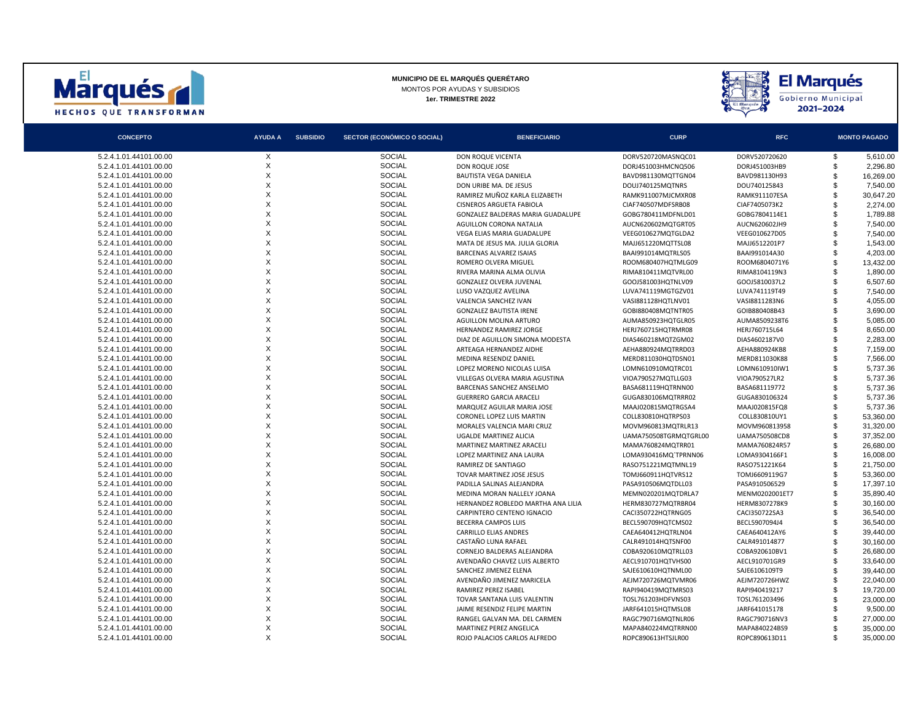



| <b>CONCEPTO</b>        | <b>AYUDA A</b> | <b>SUBSIDIO</b> | <b>SECTOR (ECONÓMICO O SOCIAL)</b> | <b>BENEFICIARIO</b>                | <b>CURP</b>           | <b>RFC</b>     | <b>MONTO PAGADO</b> |           |
|------------------------|----------------|-----------------|------------------------------------|------------------------------------|-----------------------|----------------|---------------------|-----------|
| 5.2.4.1.01.44101.00.00 | X              |                 | <b>SOCIAL</b>                      | <b>DON ROQUE VICENTA</b>           | DORV520720MASNQC01    | DORV520720620  | \$                  | 5,610.00  |
| 5.2.4.1.01.44101.00.00 | X              |                 | <b>SOCIAL</b>                      | DON ROQUE JOSE                     | DORJ451003HMCNQ506    | DORJ451003HB9  | $\mathfrak{s}$      | 2,296.80  |
| 5.2.4.1.01.44101.00.00 | X              |                 | <b>SOCIAL</b>                      | <b>BAUTISTA VEGA DANIELA</b>       | BAVD981130MQTTGN04    | BAVD981130H93  | \$                  | 16,269.00 |
| 5.2.4.1.01.44101.00.00 | X              |                 | <b>SOCIAL</b>                      | DON URIBE MA, DE JESUS             | DOUJ740125MOTNRS      | DOU740125843   | \$                  | 7.540.00  |
| 5.2.4.1.01.44101.00.00 | X              |                 | <b>SOCIAL</b>                      | RAMIREZ MUÑOZ KARLA ELIZABETH      | RAMK911007MJCMXR08    | RAMK911107ESA  | $\mathfrak{L}$      | 30,647.20 |
| 5.2.4.1.01.44101.00.00 | X              |                 | <b>SOCIAL</b>                      | CISNEROS ARGUETA FABIOLA           | CIAF740507MDFSRB08    | CIAF7405073K2  | \$                  | 2,274.00  |
| 5.2.4.1.01.44101.00.00 | X              |                 | <b>SOCIAL</b>                      | GONZALEZ BALDERAS MARIA GUADALUPE  | GOBG780411MDFNLD01    | GOBG7804114E1  | \$.                 | 1.789.88  |
| 5.2.4.1.01.44101.00.00 | X              |                 | <b>SOCIAL</b>                      | AGUILLON CORONA NATALIA            | AUCN620602MQTGRT05    | AUCN620602JH9  | £.                  | 7,540.00  |
| 5.2.4.1.01.44101.00.00 | X              |                 | <b>SOCIAL</b>                      | VEGA ELIAS MARIA GUADALUPE         | VEEG010627MQTGLDA2    | VEEG010627D05  | \$                  | 7,540.00  |
| 5.2.4.1.01.44101.00.00 | X              |                 | <b>SOCIAL</b>                      | MATA DE JESUS MA. JULIA GLORIA     | MAJJ651220MQTTSL08    | MAJJ6512201P7  | £.                  | 1.543.00  |
| 5.2.4.1.01.44101.00.00 | $\mathsf{x}$   |                 | <b>SOCIAL</b>                      | <b>BARCENAS ALVAREZ ISAIAS</b>     | BAAI991014MQTRLS05    | BAAI991014A30  | \$                  | 4,203.00  |
| 5.2.4.1.01.44101.00.00 | X              |                 | <b>SOCIAL</b>                      | ROMERO OLVERA MIGUEL               | ROOM680407HQTMLG09    | ROOM6804071Y6  | \$                  | 13,432.00 |
| 5.2.4.1.01.44101.00.00 | X              |                 | <b>SOCIAL</b>                      | RIVERA MARINA ALMA OLIVIA          | RIMA810411MQTVRL00    | RIMA8104119N3  | £.                  | 1.890.00  |
| 5.2.4.1.01.44101.00.00 | X              |                 | <b>SOCIAL</b>                      | <b>GONZALEZ OLVERA JUVENAL</b>     | GOOJ581003HQTNLV09    | GOOJ5810037L2  | \$                  | 6,507.60  |
| 5.2.4.1.01.44101.00.00 | X              |                 | <b>SOCIAL</b>                      | LUSO VAZQUEZ AVELINA               | LUVA741119MGTGZV01    | LUVA741119T49  | \$                  | 7,540.00  |
| 5.2.4.1.01.44101.00.00 | X              |                 | <b>SOCIAL</b>                      | VALENCIA SANCHEZ IVAN              | VASI881128HQTLNV01    | VASI8811283N6  | £.                  | 4,055.00  |
| 5.2.4.1.01.44101.00.00 | X              |                 | <b>SOCIAL</b>                      | <b>GONZALEZ BAUTISTA IRENE</b>     | GOBI880408MQTNTR05    | GOIB880408B43  |                     | 3,690.00  |
| 5.2.4.1.01.44101.00.00 | X              |                 | <b>SOCIAL</b>                      | AGUILLON MOLINA ARTURO             | AUMA850923HQTGLR05    | AUMA8509238T6  |                     | 5,085.00  |
| 5.2.4.1.01.44101.00.00 | X              |                 | <b>SOCIAL</b>                      | HERNANDEZ RAMIREZ JORGE            | HERJ760715HQTRMR08    | HERJ760715L64  | \$.                 | 8.650.00  |
| 5.2.4.1.01.44101.00.00 | X              |                 | <b>SOCIAL</b>                      | DIAZ DE AGUILLON SIMONA MODESTA    | DIAS460218MQTZGM02    | DIAS4602187V0  |                     | 2,283.00  |
| 5.2.4.1.01.44101.00.00 | X              |                 | <b>SOCIAL</b>                      | ARTEAGA HERNANDEZ AIDHE            | AEHA880924MQTRRD03    | AEHA880924KB8  | \$                  | 7,159.00  |
| 5.2.4.1.01.44101.00.00 | X              |                 | <b>SOCIAL</b>                      | MEDINA RESENDIZ DANIEL             | MERD811030HQTDSN01    | MERD811030K88  | \$.                 | 7.566.00  |
| 5.2.4.1.01.44101.00.00 | X              |                 | <b>SOCIAL</b>                      | LOPEZ MORENO NICOLAS LUISA         | LOMN610910MQTRC01     | LOMN610910IW1  | \$                  | 5,737.36  |
| 5.2.4.1.01.44101.00.00 | X              |                 | <b>SOCIAL</b>                      | VILLEGAS OLVERA MARIA AGUSTINA     | VIOA790527MQTLLG03    | VIOA790527LR2  | \$                  | 5,737.36  |
| 5.2.4.1.01.44101.00.00 | X              |                 | <b>SOCIAL</b>                      | <b>BARCENAS SANCHEZ ANSELMO</b>    | BASA681119HQTRNN00    | BASA681119772  | £.                  | 5.737.36  |
| 5.2.4.1.01.44101.00.00 | X              |                 | <b>SOCIAL</b>                      | <b>GUERRERO GARCIA ARACELI</b>     | GUGA830106MQTRRR02    | GUGA830106324  | \$                  | 5,737.36  |
| 5.2.4.1.01.44101.00.00 | X              |                 | <b>SOCIAL</b>                      | MARQUEZ AGUILAR MARIA JOSE         | MAAJ020815MQTRGSA4    | MAAJ020815FQ8  | \$                  | 5,737.36  |
| 5.2.4.1.01.44101.00.00 | X              |                 | <b>SOCIAL</b>                      | CORONEL LOPEZ LUIS MARTIN          | COLL830810HQTRPS03    | COLL830810UY1  |                     | 53,360.00 |
| 5.2.4.1.01.44101.00.00 | X              |                 | <b>SOCIAL</b>                      | MORALES VALENCIA MARI CRUZ         | MOVM960813MQTRLR13    | MOVM960813958  | \$                  | 31,320.00 |
| 5.2.4.1.01.44101.00.00 | X              |                 | <b>SOCIAL</b>                      | UGALDE MARTINEZ ALICIA             | UAMA750508TGRMQTGRL00 | UAMA750508CD8  | \$                  | 37,352.00 |
| 5.2.4.1.01.44101.00.00 | X              |                 | <b>SOCIAL</b>                      | MARTINEZ MARTINEZ ARACELI          | MAMA760824MQTRR01     | MAMA760824R57  | \$                  | 26.680.00 |
| 5.2.4.1.01.44101.00.00 | X              |                 | <b>SOCIAL</b>                      | LOPEZ MARTINEZ ANA LAURA           | LOMA930416MQ'TPRNN06  | LOMA9304166F1  | \$                  | 16,008.00 |
| 5.2.4.1.01.44101.00.00 | X              |                 | <b>SOCIAL</b>                      | RAMIREZ DE SANTIAGO                | RASO751221MQTMNL19    | RASO751221K64  | \$                  | 21,750.00 |
| 5.2.4.1.01.44101.00.00 | X              |                 | <b>SOCIAL</b>                      | TOVAR MARTINEZ JOSE JESUS          | TOMJ660911HQTVRS12    | TOMJ6609119G7  | \$                  | 53.360.00 |
| 5.2.4.1.01.44101.00.00 | X              |                 | <b>SOCIAL</b>                      | PADILLA SALINAS ALEJANDRA          | PASA910506MQTDLL03    | PASA910506529  | $\mathfrak{s}$      | 17,397.10 |
| 5.2.4.1.01.44101.00.00 | X              |                 | <b>SOCIAL</b>                      | MEDINA MORAN NALLELY JOANA         | MEMN020201MQTDRLA7    | MENM0202001ET7 | \$                  | 35,890.40 |
| 5.2.4.1.01.44101.00.00 | X              |                 | <b>SOCIAL</b>                      | HERNANDEZ ROBLEDO MARTHA ANA LILIA | HERM830727MQTRBR04    | HERM8307278K9  | \$                  | 30,160.00 |
| 5.2.4.1.01.44101.00.00 | X              |                 | <b>SOCIAL</b>                      | CARPINTERO CENTENO IGNACIO         | CACI350722HQTRNG05    | CACI350722SA3  | \$                  | 36,540.00 |
| 5.2.4.1.01.44101.00.00 | $\mathsf{x}$   |                 | <b>SOCIAL</b>                      | <b>BECERRA CAMPOS LUIS</b>         | BECL590709HQTCMS02    | BECL5907094J4  | \$                  | 36,540.00 |
| 5.2.4.1.01.44101.00.00 | X              |                 | <b>SOCIAL</b>                      | <b>CARRILLO ELIAS ANDRES</b>       | CAEA640412HOTRLN04    | CAEA640412AY6  | £.                  | 39.440.00 |
| 5.2.4.1.01.44101.00.00 | $\mathsf{x}$   |                 | <b>SOCIAL</b>                      | CASTAÑO LUNA RAFAEL                | CALR491014HQTSNF00    | CALR491014877  | $\mathfrak{s}$      | 30,160.00 |
| 5.2.4.1.01.44101.00.00 | X              |                 | <b>SOCIAL</b>                      | CORNEJO BALDERAS ALEJANDRA         | COBA920610MQTRLL03    | COBA920610BV1  | \$                  | 26,680.00 |
| 5.2.4.1.01.44101.00.00 | X              |                 | <b>SOCIAL</b>                      | AVENDAÑO CHAVEZ LUIS ALBERTO       | AECL910701HQTVHS00    | AECL910701GR9  | £.                  | 33,640.00 |
| 5.2.4.1.01.44101.00.00 | X              |                 | <b>SOCIAL</b>                      | SANCHEZ JIMENEZ ELENA              | SAJE610610HQTNML00    | SAJE6106109T9  | \$                  | 39.440.00 |
| 5.2.4.1.01.44101.00.00 | X              |                 | <b>SOCIAL</b>                      | AVENDAÑO JIMENEZ MARICELA          | AEJM720726MQTVMR06    | AEJM720726HWZ  | $\mathfrak{s}$      | 22,040.00 |
| 5.2.4.1.01.44101.00.00 | X              |                 | <b>SOCIAL</b>                      | RAMIREZ PEREZ ISABEL               | RAPI940419MQTMRS03    | RAPI940419217  | \$                  | 19,720.00 |
| 5.2.4.1.01.44101.00.00 | X              |                 | <b>SOCIAL</b>                      | TOVAR SANTANA LUIS VALENTIN        | TOSL761203HDFVNS03    | TOSL761203496  | \$                  | 23,000.00 |
| 5.2.4.1.01.44101.00.00 | X              |                 | <b>SOCIAL</b>                      | JAIME RESENDIZ FELIPE MARTIN       | JARF641015HQTMSL08    | JARF641015178  |                     | 9,500.00  |
| 5.2.4.1.01.44101.00.00 | X              |                 | <b>SOCIAL</b>                      | RANGEL GALVAN MA. DEL CARMEN       | RAGC790716MQTNLR06    | RAGC790716NV3  | £.                  | 27,000.00 |
| 5.2.4.1.01.44101.00.00 | X              |                 | <b>SOCIAL</b>                      | MARTINEZ PEREZ ANGELICA            | MAPA840224MQTRRN00    | MAPA840224BS9  |                     | 35,000.00 |
| 5.2.4.1.01.44101.00.00 | $\times$       |                 | <b>SOCIAL</b>                      | ROJO PALACIOS CARLOS ALFREDO       | ROPC890613HTSJLR00    | ROPC890613D11  | \$                  | 35,000.00 |
|                        |                |                 |                                    |                                    |                       |                |                     |           |